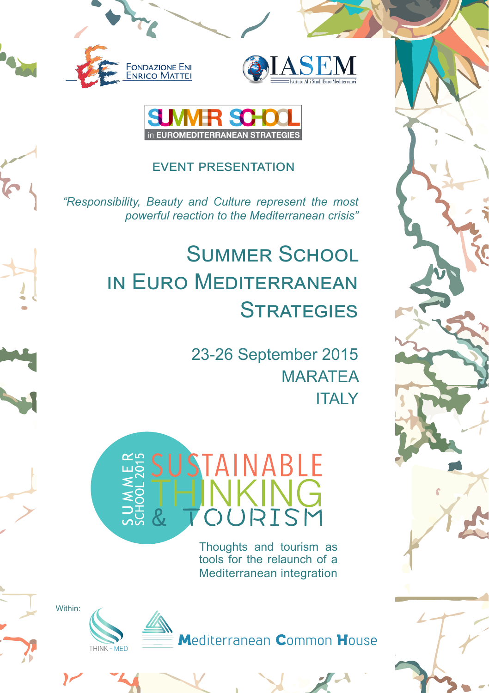





## event presentation

*"Responsibility, Beauty and Culture represent the most powerful reaction to the Mediterranean crisis"*

## Summer School in Euro Mediterranean **STRATEGIES**

23-26 September 2015 **MARATEA ITALY** 



Thoughts and tourism as tools for the relaunch of a Mediterranean integration

Within:

**POS** 



Mediterranean Common House